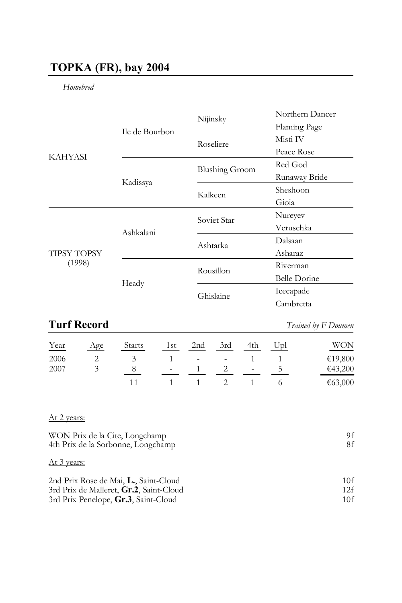# **TOPKA (FR), bay 2004**

### *Homebred*

|                              |                | Nijinsky              | Northern Dancer     |
|------------------------------|----------------|-----------------------|---------------------|
| <b>KAHYASI</b>               | Ile de Bourbon |                       | Flaming Page        |
|                              |                | Roseliere             | Misti IV            |
|                              |                |                       | Peace Rose          |
|                              |                | <b>Blushing Groom</b> | Red God             |
|                              | Kadissya       |                       | Runaway Bride       |
|                              |                | Kalkeen               | Sheshoon            |
|                              |                |                       | Gioia               |
| <b>TIPSY TOPSY</b><br>(1998) | Ashkalani      | Soviet Star           | Nureyev             |
|                              |                |                       | Veruschka           |
|                              |                | Ashtarka              | Dalsaan             |
|                              |                |                       | Asharaz             |
|                              | Heady          | Rousillon             | Riverman            |
|                              |                |                       | <b>Belle Dorine</b> |
|                              |                | Ghislaine             | Icecapade           |
|                              |                |                       | Cambretta           |
|                              |                |                       |                     |

# **Turf Record** *Trained by F Doumen*

| Year | Age | <b>Starts</b> | 1st | 2nd                        | 3rd | 4th    | Upl | WON     |
|------|-----|---------------|-----|----------------------------|-----|--------|-----|---------|
| 2006 |     |               |     | the company of the company |     |        |     | €19,800 |
| 2007 |     |               | ٠   |                            |     | $\sim$ |     | €43,200 |
|      |     |               |     |                            |     |        |     | €63,000 |

## At 2 years:

| WON Prix de la Cite, Longchamp<br>4th Prix de la Sorbonne, Longchamp | 9f<br>8f |
|----------------------------------------------------------------------|----------|
| At 3 years:                                                          |          |
| 2nd Prix Rose de Mai, L., Saint-Cloud                                | 10f      |
| 3rd Prix de Malleret, Gr.2, Saint-Cloud                              | 12f      |
| 3rd Prix Penelope, Gr.3, Saint-Cloud                                 | 10f      |